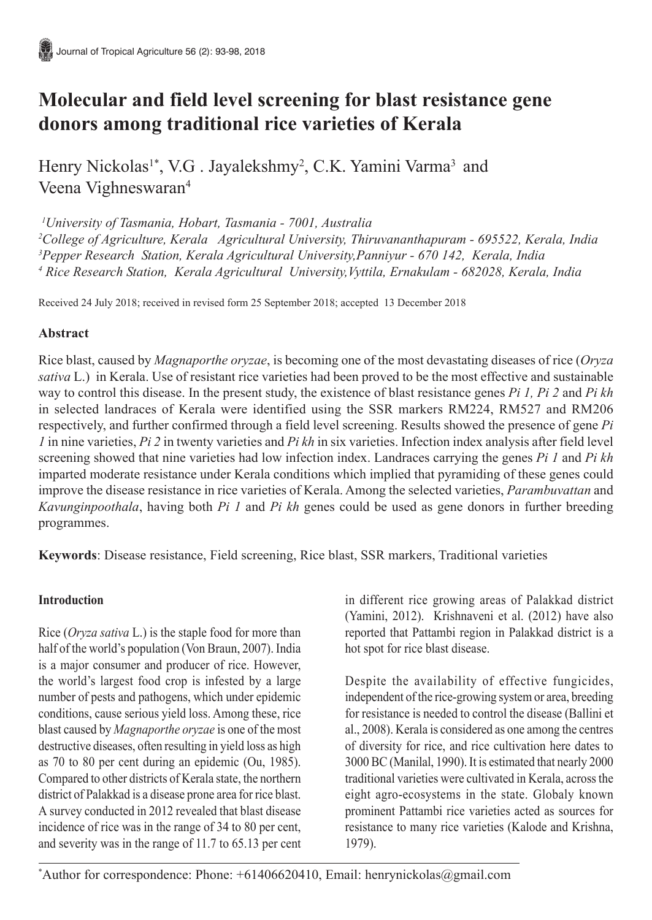# **Molecular and field level screening for blast resistance gene donors among traditional rice varieties of Kerala**

Henry Nickolas<sup>1\*</sup>, V.G. Jayalekshmy<sup>2</sup>, C.K. Yamini Varma<sup>3</sup> and Veena Vighneswaran<sup>4</sup>

*1 University of Tasmania, Hobart, Tasmania - 7001, Australia*

*2 College of Agriculture, Kerala Agricultural University, Thiruvananthapuram - 695522, Kerala, India 3 Pepper Research Station, Kerala Agricultural University,Panniyur - 670 142, Kerala, India 4 Rice Research Station, Kerala Agricultural University,Vyttila, Ernakulam - 682028, Kerala, India*

Received 24 July 2018; received in revised form 25 September 2018; accepted 13 December 2018

# **Abstract**

Rice blast, caused by *Magnaporthe oryzae*, is becoming one of the most devastating diseases of rice (*Oryza sativa* L.) in Kerala. Use of resistant rice varieties had been proved to be the most effective and sustainable way to control this disease. In the present study, the existence of blast resistance genes *Pi 1, Pi 2* and *Pi kh* in selected landraces of Kerala were identified using the SSR markers RM224, RM527 and RM206 respectively, and further confirmed through a field level screening. Results showed the presence of gene *Pi 1* in nine varieties, *Pi 2* in twenty varieties and *Pi kh* in six varieties. Infection index analysis after field level screening showed that nine varieties had low infection index. Landraces carrying the genes *Pi 1* and *Pi kh* imparted moderate resistance under Kerala conditions which implied that pyramiding of these genes could improve the disease resistance in rice varieties of Kerala. Among the selected varieties, *Parambuvattan* and *Kavunginpoothala*, having both *Pi 1* and *Pi kh* genes could be used as gene donors in further breeding programmes.

**Keywords**: Disease resistance, Field screening, Rice blast, SSR markers, Traditional varieties

# **Introduction**

Rice (*Oryza sativa* L.) is the staple food for more than half of the world's population (Von Braun, 2007). India is a major consumer and producer of rice. However, the world's largest food crop is infested by a large number of pests and pathogens, which under epidemic conditions, cause serious yield loss. Among these, rice blast caused by *Magnaporthe oryzae* is one of the most destructive diseases, often resulting in yield loss as high as 70 to 80 per cent during an epidemic (Ou, 1985). Compared to other districts of Kerala state, the northern district of Palakkad is a disease prone area for rice blast. A survey conducted in 2012 revealed that blast disease incidence of rice was in the range of 34 to 80 per cent, and severity was in the range of 11.7 to 65.13 per cent

in different rice growing areas of Palakkad district (Yamini, 2012). Krishnaveni et al. (2012) have also reported that Pattambi region in Palakkad district is a hot spot for rice blast disease.

Despite the availability of effective fungicides, independent of the rice-growing system or area, breeding for resistance is needed to control the disease (Ballini et al., 2008). Kerala is considered as one among the centres of diversity for rice, and rice cultivation here dates to 3000 BC (Manilal, 1990). It is estimated that nearly 2000 traditional varieties were cultivated in Kerala, across the eight agro-ecosystems in the state. Globaly known prominent Pattambi rice varieties acted as sources for resistance to many rice varieties (Kalode and Krishna, 1979).

\* Author for correspondence: Phone: +61406620410, Email: henrynickolas@gmail.com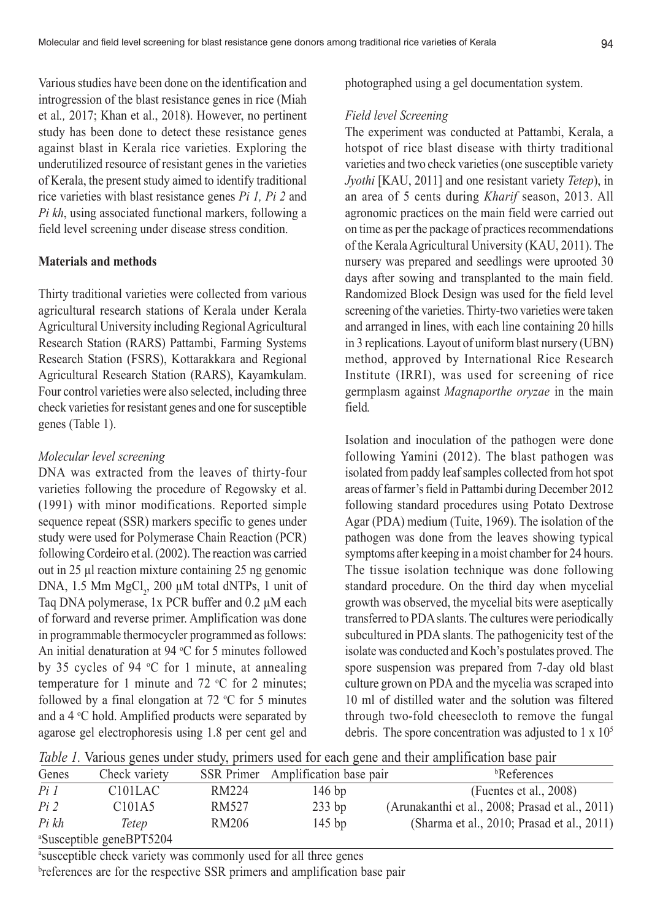Various studies have been done on the identification and introgression of the blast resistance genes in rice (Miah et al*.,* 2017; Khan et al., 2018). However, no pertinent study has been done to detect these resistance genes against blast in Kerala rice varieties. Exploring the underutilized resource of resistant genes in the varieties of Kerala, the present study aimed to identify traditional rice varieties with blast resistance genes *Pi 1, Pi 2* and *Pi kh*, using associated functional markers, following a field level screening under disease stress condition.

#### **Materials and methods**

Thirty traditional varieties were collected from various agricultural research stations of Kerala under Kerala Agricultural University including Regional Agricultural Research Station (RARS) Pattambi, Farming Systems Research Station (FSRS), Kottarakkara and Regional Agricultural Research Station (RARS), Kayamkulam. Four control varieties were also selected, including three check varieties for resistant genes and one for susceptible genes (Table 1).

#### *Molecular level screening*

DNA was extracted from the leaves of thirty-four varieties following the procedure of Regowsky et al. (1991) with minor modifications. Reported simple sequence repeat (SSR) markers specific to genes under study were used for Polymerase Chain Reaction (PCR) following Cordeiro et al. (2002). The reaction was carried out in 25 µl reaction mixture containing 25 ng genomic DNA, 1.5 Mm  $MgCl<sub>2</sub>$ , 200  $\mu$ M total dNTPs, 1 unit of Taq DNA polymerase, 1x PCR buffer and 0.2  $\mu$ M each of forward and reverse primer. Amplification was done in programmable thermocycler programmed as follows: An initial denaturation at  $94 \text{ °C}$  for 5 minutes followed by 35 cycles of 94  $\degree$ C for 1 minute, at annealing temperature for 1 minute and 72  $\mathrm{C}$  for 2 minutes; followed by a final elongation at  $72 \text{ °C}$  for 5 minutes and a  $4 \,^{\circ}\mathrm{C}$  hold. Amplified products were separated by agarose gel electrophoresis using 1.8 per cent gel and photographed using a gel documentation system.

#### *Field level Screening*

The experiment was conducted at Pattambi, Kerala, a hotspot of rice blast disease with thirty traditional varieties and two check varieties (one susceptible variety *Jyothi* [KAU, 2011] and one resistant variety *Tetep*), in an area of 5 cents during *Kharif* season, 2013. All agronomic practices on the main field were carried out on time as per the package of practices recommendations of the Kerala Agricultural University (KAU, 2011). The nursery was prepared and seedlings were uprooted 30 days after sowing and transplanted to the main field. Randomized Block Design was used for the field level screening of the varieties. Thirty-two varieties were taken and arranged in lines, with each line containing 20 hills in 3 replications. Layout of uniform blast nursery (UBN) method, approved by International Rice Research Institute (IRRI), was used for screening of rice germplasm against *Magnaporthe oryzae* in the main field*.*

Isolation and inoculation of the pathogen were done following Yamini (2012). The blast pathogen was isolated from paddy leaf samples collected from hot spot areas of farmer's field in Pattambi during December 2012 following standard procedures using Potato Dextrose Agar (PDA) medium (Tuite, 1969). The isolation of the pathogen was done from the leaves showing typical symptoms after keeping in a moist chamber for 24 hours. The tissue isolation technique was done following standard procedure. On the third day when mycelial growth was observed, the mycelial bits were aseptically transferred to PDA slants. The cultures were periodically subcultured in PDA slants. The pathogenicity test of the isolate was conducted and Koch's postulates proved. The spore suspension was prepared from 7-day old blast culture grown on PDA and the mycelia was scraped into 10 ml of distilled water and the solution was filtered through two-fold cheesecloth to remove the fungal debris. The spore concentration was adjusted to  $1 \times 10^5$ 

*Table 1.* Various genes under study, primers used for each gene and their amplification base pair

| Genes  | Check variety                        |       | SSR Primer Amplification base pair | <sup>b</sup> References                         |
|--------|--------------------------------------|-------|------------------------------------|-------------------------------------------------|
| $Pi$ 1 | C <sub>101</sub> L <sub>AC</sub>     | RM224 | $146$ bp                           | (Fuentes et al., $2008$ )                       |
| $Pi$ 2 | C <sub>101</sub> A <sub>5</sub>      | RM527 | $233$ bp                           | (Arunakanthi et al., 2008; Prasad et al., 2011) |
| Pi kh  | Tetep                                | RM206 | $145$ bp                           | (Sharma et al., 2010; Prasad et al., 2011)      |
|        | <sup>a</sup> Susceptible geneBPT5204 |       |                                    |                                                 |

a susceptible check variety was commonly used for all three genes

breferences are for the respective SSR primers and amplification base pair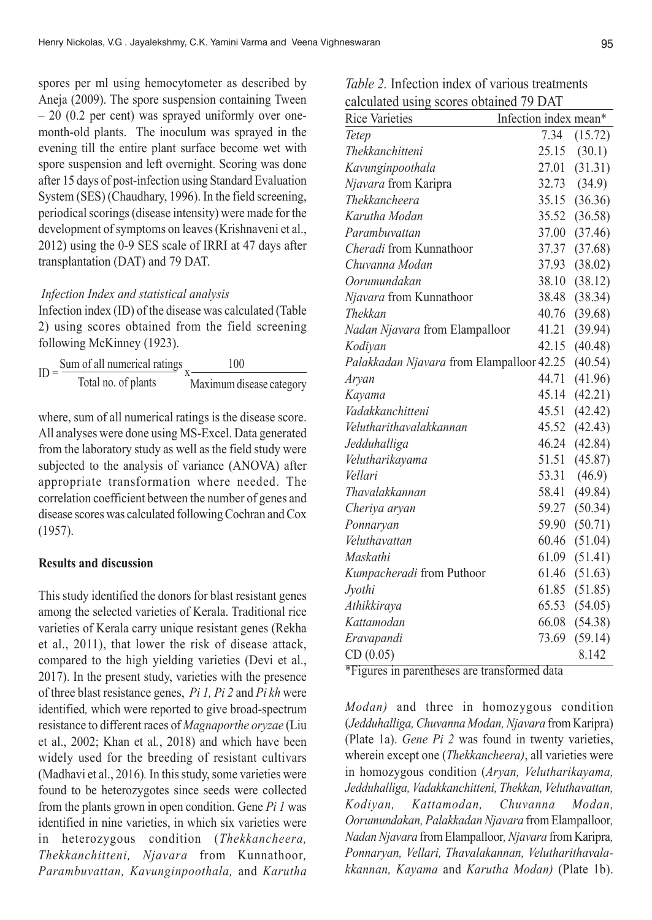spores per ml using hemocytometer as described by Aneja (2009). The spore suspension containing Tween – 20 (0.2 per cent) was sprayed uniformly over onemonth-old plants. The inoculum was sprayed in the evening till the entire plant surface become wet with spore suspension and left overnight. Scoring was done after 15 days of post-infection using Standard Evaluation System (SES) (Chaudhary, 1996). In the field screening, periodical scorings (disease intensity) were made for the development of symptoms on leaves (Krishnaveni et al., 2012) using the 0-9 SES scale of IRRI at 47 days after transplantation (DAT) and 79 DAT.

## *Infection Index and statistical analysis*

Infection index (ID) of the disease was calculated (Table 2) using scores obtained from the field screening following McKinney (1923).

| $ID =$ | Sum of all numerical ratings | 100                      |
|--------|------------------------------|--------------------------|
|        | Total no. of plants          | Maximum disease category |

where, sum of all numerical ratings is the disease score. All analyses were done using MS-Excel. Data generated from the laboratory study as well as the field study were subjected to the analysis of variance (ANOVA) after appropriate transformation where needed. The correlation coefficient between the number of genes and disease scores was calculated following Cochran and Cox (1957).

## **Results and discussion**

This study identified the donors for blast resistant genes among the selected varieties of Kerala. Traditional rice varieties of Kerala carry unique resistant genes (Rekha et al., 2011), that lower the risk of disease attack, compared to the high yielding varieties (Devi et al., 2017). In the present study, varieties with the presence of three blast resistance genes, *Pi 1, Pi 2* and *Pi kh* were identified*,* which were reported to give broad-spectrum resistance to different races of *Magnaporthe oryzae* (Liu et al., 2002; Khan et al*.*, 2018) and which have been widely used for the breeding of resistant cultivars (Madhavi et al., 2016)*.* In this study, some varieties were found to be heterozygotes since seeds were collected from the plants grown in open condition. Gene *Pi 1* was identified in nine varieties, in which six varieties were in heterozygous condition (*Thekkancheera, Thekkanchitteni, Njavara* from Kunnathoor*, Parambuvattan, Kavunginpoothala,* and *Karutha* *Table 2.* Infection index of various treatments calculated using scores obtained 79 DAT

| $\frac{1}{2}$                             |                       |                  |
|-------------------------------------------|-----------------------|------------------|
| <b>Rice Varieties</b>                     | Infection index mean* |                  |
| Tetep                                     | 7.34                  | (15.72)          |
| Thekkanchitteni                           | 25.15                 | (30.1)           |
| Kavunginpoothala                          | 27.01                 | (31.31)          |
| Njavara from Karipra                      |                       | $32.73$ $(34.9)$ |
| Thekkancheera                             | 35.15                 | (36.36)          |
| Karutha Modan                             | 35.52                 | (36.58)          |
| Parambuyattan                             | 37.00                 | (37.46)          |
| Cheradi from Kunnathoor                   | 37.37                 | (37.68)          |
| Chuvanna Modan                            | 37.93                 | (38.02)          |
| Oorumundakan                              | 38.10                 | (38.12)          |
| Njavara from Kunnathoor                   | 38.48                 | (38.34)          |
| Thekkan                                   | 40.76                 | (39.68)          |
| Nadan Njavara from Elampalloor            | 41.21                 | (39.94)          |
| Kodiyan                                   | 42.15                 | (40.48)          |
| Palakkadan Njavara from Elampalloor 42.25 |                       | (40.54)          |
| Aryan                                     | 44.71                 | (41.96)          |
| Kayama                                    | 45.14                 | (42.21)          |
| Vadakkanchitteni                          | 45.51                 | (42.42)          |
| Velutharithavalakkannan                   | 45.52                 | (42.43)          |
| Jedduhalliga                              | 46.24                 | (42.84)          |
| Velutharikayama                           | 51.51                 | (45.87)          |
| Vellari                                   | 53.31                 | (46.9)           |
| Thavalakkannan                            | 58.41                 | (49.84)          |
| Cheriya aryan                             | 59.27                 | (50.34)          |
| Ponnaryan                                 | 59.90                 | (50.71)          |
| Veluthavattan                             | 60.46                 | (51.04)          |
| Maskathi                                  | 61.09                 | (51.41)          |
| Kumpacheradi from Puthoor                 | 61.46                 | (51.63)          |
| Jyothi                                    | 61.85                 | (51.85)          |
| Athikkiraya                               | 65.53                 | (54.05)          |
| Kattamodan                                | 66.08                 | (54.38)          |
| Eravapandi                                | 73.69                 | (59.14)          |
| CD(0.05)                                  |                       | 8.142            |

\*Figures in parentheses are transformed data

*Modan)* and three in homozygous condition (*Jedduhalliga, Chuvanna Modan, Njavara* from Karipra) (Plate 1a). *Gene Pi 2* was found in twenty varieties, wherein except one (*Thekkancheera)*, all varieties were in homozygous condition (*Aryan, Velutharikayama, Jedduhalliga, Vadakkanchitteni, Thekkan, Veluthavattan, Kodiyan, Kattamodan, Chuvanna Modan, Oorumundakan, Palakkadan Njavara* from Elampalloor*, Nadan Njavara* from Elampalloor*, Njavara* from Karipra*, Ponnaryan, Vellari, Thavalakannan, Velutharithavalakkannan, Kayama* and *Karutha Modan)* (Plate 1b).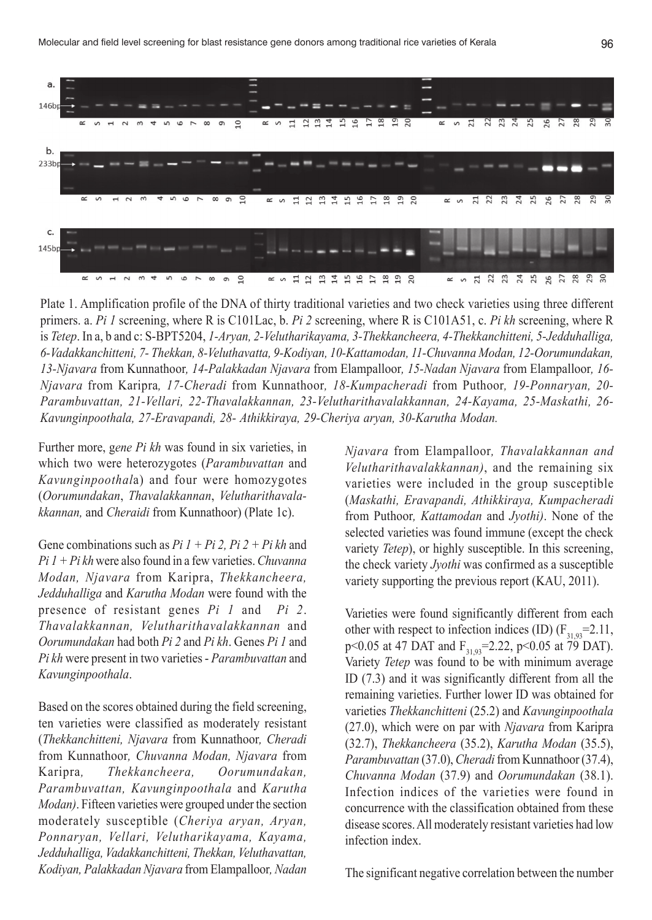

Plate 1. Amplification profile of the DNA of thirty traditional varieties and two check varieties using three different primers. a. *Pi 1* screening, where R is C101Lac, b. *Pi 2* screening, where R is C101A51, c. *Pi kh* screening, where R is *Tetep*. In a, b and c: S-BPT5204, *1-Aryan, 2-Velutharikayama, 3-Thekkancheera, 4-Thekkanchitteni, 5-Jedduhalliga, 6-Vadakkanchitteni, 7- Thekkan, 8-Veluthavatta, 9-Kodiyan, 10-Kattamodan, 11-Chuvanna Modan, 12-Oorumundakan, 13-Njavara* from Kunnathoor*, 14-Palakkadan Njavara* from Elampalloor*, 15-Nadan Njavara* from Elampalloor*, 16- Njavara* from Karipra*, 17-Cheradi* from Kunnathoor*, 18-Kumpacheradi* from Puthoor*, 19-Ponnaryan, 20- Parambuvattan, 21-Vellari, 22-Thavalakkannan, 23-Velutharithavalakkannan, 24-Kayama, 25-Maskathi, 26- Kavunginpoothala, 27-Eravapandi, 28- Athikkiraya, 29-Cheriya aryan, 30-Karutha Modan.*

Further more, g*ene Pi kh* was found in six varieties, in which two were heterozygotes (*Parambuvattan* and *Kavunginpoothal*a) and four were homozygotes (*Oorumundakan*, *Thavalakkannan*, *Velutharithavalakkannan,* and *Cheraidi* from Kunnathoor) (Plate 1c).

Gene combinations such as *Pi 1 + Pi 2, Pi 2 + Pi kh* and *Pi 1 + Pi kh* were also found in a few varieties. *Chuvanna Modan, Njavara* from Karipra, *Thekkancheera, Jedduhalliga* and *Karutha Modan* were found with the presence of resistant genes *Pi 1* and *Pi 2*. *Thavalakkannan, Velutharithavalakkannan* and *Oorumundakan* had both *Pi 2* and *Pi kh*. Genes *Pi 1* and *Pi kh* were present in two varieties - *Parambuvattan* and *Kavunginpoothala*.

Based on the scores obtained during the field screening, ten varieties were classified as moderately resistant (*Thekkanchitteni, Njavara* from Kunnathoor*, Cheradi* from Kunnathoor*, Chuvanna Modan, Njavara* from Karipra*, Thekkancheera, Oorumundakan, Parambuvattan, Kavunginpoothala* and *Karutha Modan)*. Fifteen varieties were grouped under the section moderately susceptible (*Cheriya aryan, Aryan, Ponnaryan, Vellari, Velutharikayama, Kayama, Jedduhalliga, Vadakkanchitteni, Thekkan, Veluthavattan, Kodiyan, Palakkadan Njavara* from Elampalloor*, Nadan* *Njavara* from Elampalloor*, Thavalakkannan and Velutharithavalakkannan)*, and the remaining six varieties were included in the group susceptible (*Maskathi, Eravapandi, Athikkiraya, Kumpacheradi* from Puthoor*, Kattamodan* and *Jyothi)*. None of the selected varieties was found immune (except the check variety *Tetep*), or highly susceptible. In this screening, the check variety *Jyothi* was confirmed as a susceptible variety supporting the previous report (KAU, 2011).

Varieties were found significantly different from each other with respect to infection indices (ID)  $(F_{31,93}=2.11,$ p<0.05 at 47 DAT and  $F_{31,93}$ =2.22, p<0.05 at 79 DAT). Variety *Tetep* was found to be with minimum average ID (7.3) and it was significantly different from all the remaining varieties. Further lower ID was obtained for varieties *Thekkanchitteni* (25.2) and *Kavunginpoothala* (27.0), which were on par with *Njavara* from Karipra (32.7), *Thekkancheera* (35.2), *Karutha Modan* (35.5), *Parambuvattan* (37.0), *Cheradi* from Kunnathoor (37.4), *Chuvanna Modan* (37.9) and *Oorumundakan* (38.1). Infection indices of the varieties were found in concurrence with the classification obtained from these disease scores. All moderately resistant varieties had low infection index.

The significant negative correlation between the number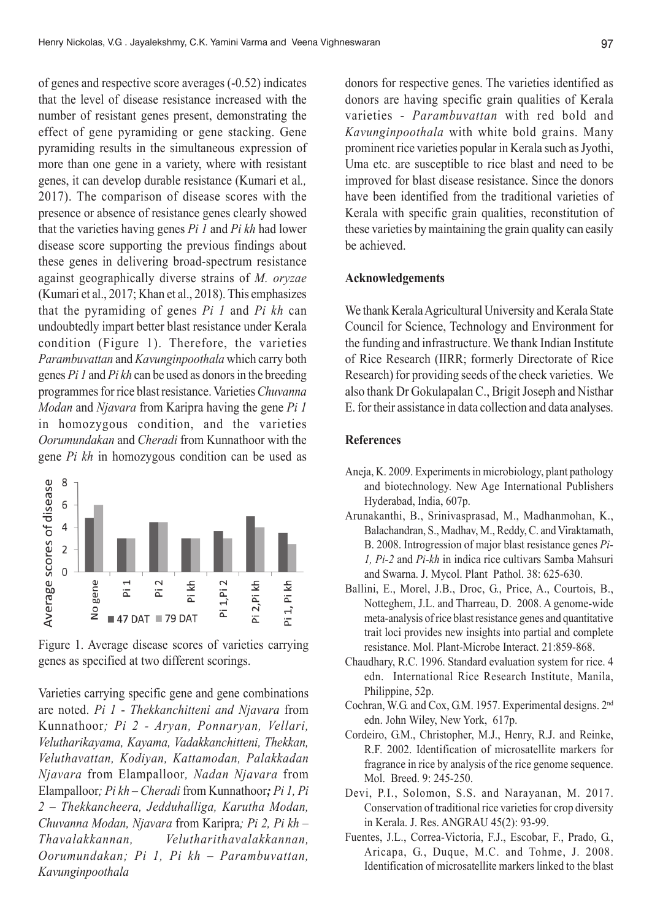of genes and respective score averages (-0.52) indicates that the level of disease resistance increased with the number of resistant genes present, demonstrating the effect of gene pyramiding or gene stacking. Gene pyramiding results in the simultaneous expression of more than one gene in a variety, where with resistant genes, it can develop durable resistance (Kumari et al*.,* 2017). The comparison of disease scores with the presence or absence of resistance genes clearly showed that the varieties having genes *Pi 1* and *Pi kh* had lower disease score supporting the previous findings about these genes in delivering broad-spectrum resistance against geographically diverse strains of *M. oryzae* (Kumari et al., 2017; Khan et al., 2018). This emphasizes that the pyramiding of genes *Pi 1* and *Pi kh* can undoubtedly impart better blast resistance under Kerala condition (Figure 1). Therefore, the varieties *Parambuvattan* and *Kavunginpoothala* which carry both genes *Pi 1* and *Pi kh* can be used as donors in the breeding programmes for rice blast resistance. Varieties *Chuvanna Modan* and *Njavara* from Karipra having the gene *Pi 1* in homozygous condition, and the varieties *Oorumundakan* and *Cheradi* from Kunnathoor with the gene *Pi kh* in homozygous condition can be used as



Figure 1. Average disease scores of varieties carrying genes as specified at two different scorings.

Varieties carrying specific gene and gene combinations are noted. *Pi 1* - *Thekkanchitteni and Njavara* from Kunnathoor*; Pi 2 - Aryan, Ponnaryan, Vellari, Velutharikayama, Kayama, Vadakkanchitteni, Thekkan, Veluthavattan, Kodiyan, Kattamodan, Palakkadan Njavara* from Elampalloor*, Nadan Njavara* from Elampalloor*; Pi kh – Cheradi* from Kunnathoor*; Pi 1, Pi 2 – Thekkancheera, Jedduhalliga, Karutha Modan, Chuvanna Modan, Njavara* from Karipra*; Pi 2, Pi kh – Thavalakkannan, Velutharithavalakkannan, Oorumundakan; Pi 1, Pi kh – Parambuvattan, Kavunginpoothala*

donors for respective genes. The varieties identified as donors are having specific grain qualities of Kerala varieties - *Parambuvattan* with red bold and *Kavunginpoothala* with white bold grains. Many prominent rice varieties popular in Kerala such as Jyothi, Uma etc. are susceptible to rice blast and need to be improved for blast disease resistance. Since the donors have been identified from the traditional varieties of Kerala with specific grain qualities, reconstitution of these varieties by maintaining the grain quality can easily be achieved.

#### **Acknowledgements**

We thank Kerala Agricultural University and Kerala State Council for Science, Technology and Environment for the funding and infrastructure. We thank Indian Institute of Rice Research (IIRR; formerly Directorate of Rice Research) for providing seeds of the check varieties. We also thank Dr Gokulapalan C., Brigit Joseph and Nisthar E. for their assistance in data collection and data analyses.

## **References**

- Aneja, K. 2009. Experiments in microbiology, plant pathology and biotechnology. New Age International Publishers Hyderabad, India, 607p.
- Arunakanthi, B., Srinivasprasad, M., Madhanmohan, K., Balachandran, S., Madhav, M., Reddy, C. and Viraktamath, B. 2008. Introgression of major blast resistance genes *Pi-1, Pi-2* and *Pi-kh* in indica rice cultivars Samba Mahsuri and Swarna. J. Mycol. Plant Pathol. 38: 625-630.
- Ballini, E., Morel, J.B., Droc, G., Price, A., Courtois, B., Notteghem, J.L. and Tharreau, D. 2008. A genome-wide meta-analysis of rice blast resistance genes and quantitative trait loci provides new insights into partial and complete resistance. Mol. Plant-Microbe Interact. 21:859-868.
- Chaudhary, R.C. 1996. Standard evaluation system for rice. 4 edn. International Rice Research Institute, Manila, Philippine, 52p.
- Cochran, W.G. and Cox, G.M. 1957. Experimental designs. 2nd edn. John Wiley, New York, 617p.
- Cordeiro, G.M., Christopher, M.J., Henry, R.J. and Reinke, R.F. 2002. Identification of microsatellite markers for fragrance in rice by analysis of the rice genome sequence. Mol. Breed. 9: 245-250.
- Devi, P.I., Solomon, S.S. and Narayanan, M. 2017. Conservation of traditional rice varieties for crop diversity in Kerala. J. Res. ANGRAU 45(2): 93-99.
- Fuentes, J.L., Correa-Victoria, F.J., Escobar, F., Prado, G., Aricapa, G., Duque, M.C. and Tohme, J. 2008. Identification of microsatellite markers linked to the blast